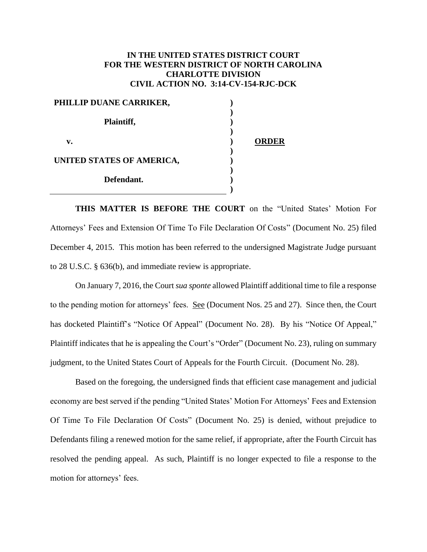## **IN THE UNITED STATES DISTRICT COURT FOR THE WESTERN DISTRICT OF NORTH CAROLINA CHARLOTTE DIVISION CIVIL ACTION NO. 3:14-CV-154-RJC-DCK**

| PHILLIP DUANE CARRIKER,   |              |
|---------------------------|--------------|
| Plaintiff,                |              |
| v.                        | <b>ORDER</b> |
| UNITED STATES OF AMERICA, |              |
| Defendant.                |              |
|                           |              |

**THIS MATTER IS BEFORE THE COURT** on the "United States' Motion For Attorneys' Fees and Extension Of Time To File Declaration Of Costs" (Document No. 25) filed December 4, 2015. This motion has been referred to the undersigned Magistrate Judge pursuant to 28 U.S.C. § 636(b), and immediate review is appropriate.

On January 7, 2016, the Court *sua sponte* allowed Plaintiff additional time to file a response to the pending motion for attorneys' fees. See (Document Nos. 25 and 27). Since then, the Court has docketed Plaintiff's "Notice Of Appeal" (Document No. 28). By his "Notice Of Appeal," Plaintiff indicates that he is appealing the Court's "Order" (Document No. 23), ruling on summary judgment, to the United States Court of Appeals for the Fourth Circuit. (Document No. 28).

Based on the foregoing, the undersigned finds that efficient case management and judicial economy are best served if the pending "United States' Motion For Attorneys' Fees and Extension Of Time To File Declaration Of Costs" (Document No. 25) is denied, without prejudice to Defendants filing a renewed motion for the same relief, if appropriate, after the Fourth Circuit has resolved the pending appeal. As such, Plaintiff is no longer expected to file a response to the motion for attorneys' fees.